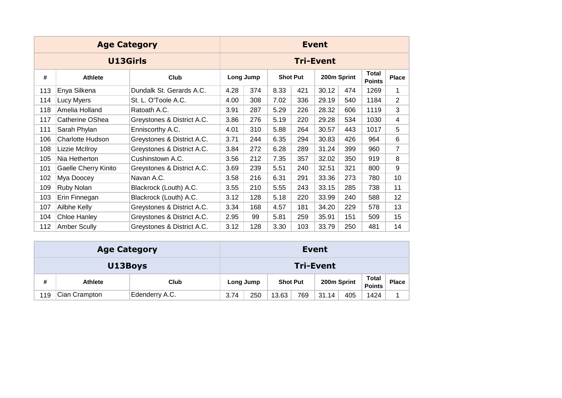|     | <b>Age Category</b>              |                            |      |           |                 |     | <b>Event</b>     |     |                               |                |
|-----|----------------------------------|----------------------------|------|-----------|-----------------|-----|------------------|-----|-------------------------------|----------------|
|     | <b>U13Girls</b>                  |                            |      |           |                 |     | <b>Tri-Event</b> |     |                               |                |
| #   | <b>Athlete</b>                   | Club                       |      | Long Jump | <b>Shot Put</b> |     | 200m Sprint      |     | <b>Total</b><br><b>Points</b> | <b>Place</b>   |
| 113 | Enya Silkena                     | Dundalk St. Gerards A.C.   | 4.28 | 374       | 8.33            | 421 | 30.12            | 474 | 1269                          | 1              |
| 114 | Lucy Myers                       | St. L. O'Toole A.C.        | 4.00 | 308       | 7.02            | 336 | 29.19            | 540 | 1184                          | $\overline{2}$ |
| 118 | Amelia Holland                   | Ratoath A.C.               | 3.91 | 287       | 5.29            | 226 | 28.32            | 606 | 1119                          | 3              |
| 117 | Catherine OShea                  | Greystones & District A.C. | 3.86 | 276       | 5.19            | 220 | 29.28            | 534 | 1030                          | 4              |
| 111 | Sarah Phylan<br>Enniscorthy A.C. |                            | 4.01 | 310       | 5.88            | 264 | 30.57            | 443 | 1017                          | 5              |
| 106 | <b>Charlotte Hudson</b>          | Greystones & District A.C. | 3.71 | 244       | 6.35            | 294 | 30.83            | 426 | 964                           | 6              |
| 108 | Lizzie McIlroy                   | Greystones & District A.C. | 3.84 | 272       | 6.28            | 289 | 31.24            | 399 | 960                           | $\overline{7}$ |
| 105 | Nia Hetherton                    | Cushinstown A.C.           | 3.56 | 212       | 7.35            | 357 | 32.02            | 350 | 919                           | 8              |
| 101 | <b>Gaelle Cherry Kinito</b>      | Greystones & District A.C. | 3.69 | 239       | 5.51            | 240 | 32.51            | 321 | 800                           | 9              |
| 102 | Mya Doocey                       | Navan A.C.                 | 3.58 | 216       | 6.31            | 291 | 33.36            | 273 | 780                           | 10             |
| 109 | Ruby Nolan                       | Blackrock (Louth) A.C.     | 3.55 | 210       | 5.55            | 243 | 33.15            | 285 | 738                           | 11             |
| 103 | Erin Finnegan                    | Blackrock (Louth) A.C.     | 3.12 | 128       | 5.18            | 220 | 33.99            | 240 | 588                           | 12             |
| 107 | Ailbhe Kelly                     | Greystones & District A.C. | 3.34 | 168       | 4.57            | 181 | 34.20            | 229 | 578                           | 13             |
| 104 | Chloe Hanley                     | Greystones & District A.C. | 2.95 | 99        | 5.81            | 259 | 35.91            | 151 | 509                           | 15             |
| 112 | <b>Amber Scully</b>              | Greystones & District A.C. | 3.12 | 128       | 3.30            | 103 | 33.79            | 250 | 481                           | 14             |

|     | <b>Age Category</b> |                |      |           |                 |                  | <b>Event</b> |     |                               |              |
|-----|---------------------|----------------|------|-----------|-----------------|------------------|--------------|-----|-------------------------------|--------------|
|     | U13Boys             |                |      |           |                 | <b>Tri-Event</b> |              |     |                               |              |
| #   | <b>Athlete</b>      | Club           |      | Long Jump | <b>Shot Put</b> |                  | 200m Sprint  |     | <b>Total</b><br><b>Points</b> | <b>Place</b> |
| 119 | Cian Crampton       | Edenderry A.C. | 3.74 | 250       | 13.63           | 769              | 31.14        | 405 | 1424                          |              |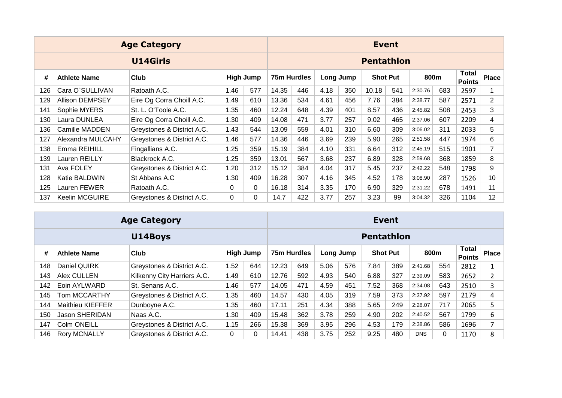|     |                        | <b>Age Category</b>        |          |                  |             |     |      |           |                   | <b>Event</b>    |         |     |                        |                 |
|-----|------------------------|----------------------------|----------|------------------|-------------|-----|------|-----------|-------------------|-----------------|---------|-----|------------------------|-----------------|
|     |                        | <b>U14Girls</b>            |          |                  |             |     |      |           | <b>Pentathlon</b> |                 |         |     |                        |                 |
| #   | <b>Athlete Name</b>    | Club                       |          | <b>High Jump</b> | 75m Hurdles |     |      | Long Jump |                   | <b>Shot Put</b> | 800m    |     | Total<br><b>Points</b> | <b>Place</b>    |
| 126 | Cara O'SULLIVAN        | Ratoath A.C.               | 1.46     | 577              | 14.35       | 446 | 4.18 | 350       | 10.18             | 541             | 2:30.76 | 683 | 2597                   |                 |
| 129 | <b>Allison DEMPSEY</b> | Eire Og Corra Choill A.C.  | 1.49     | 610              | 13.36       | 534 | 4.61 | 456       | 7.76              | 384             | 2:38.77 | 587 | 2571                   | $\overline{2}$  |
| 141 | Sophie MYERS           | St. L. O'Toole A.C.        | 1.35     | 460              | 12.24       | 648 | 4.39 | 401       | 8.57              | 436             | 2:45.82 | 508 | 2453                   | 3               |
| 130 | Laura DUNLEA           | Eire Og Corra Choill A.C.  | 1.30     | 409              | 14.08       | 471 | 3.77 | 257       | 9.02              | 465             | 2:37.06 | 607 | 2209                   | 4               |
| 136 | Camille MADDEN         | Greystones & District A.C. | 1.43     | 544              | 13.09       | 559 | 4.01 | 310       | 6.60              | 309             | 3:06.02 | 311 | 2033                   | 5               |
| 127 | Alexandra MULCAHY      | Greystones & District A.C. | 1.46     | 577              | 14.36       | 446 | 3.69 | 239       | 5.90              | 265             | 2:51.58 | 447 | 1974                   | 6               |
| 138 | Emma REIHILL           | Fingallians A.C.           | 1.25     | 359              | 15.19       | 384 | 4.10 | 331       | 6.64              | 312             | 2:45.19 | 515 | 1901                   | $\overline{7}$  |
| 139 | Lauren REILLY          | Blackrock A.C.             | 1.25     | 359              | 13.01       | 567 | 3.68 | 237       | 6.89              | 328             | 2:59.68 | 368 | 1859                   | 8               |
| 131 | Ava FOLEY              | Greystones & District A.C. | 1.20     | 312              | 15.12       | 384 | 4.04 | 317       | 5.45              | 237             | 2:42.22 | 548 | 1798                   | 9               |
| 128 | Katie BALDWIN          | St Abbans A.C              | 1.30     | 409              | 16.28       | 307 | 4.16 | 345       | 4.52              | 178             | 3:08.90 | 287 | 1526                   | 10              |
| 125 | Lauren FEWER           | Ratoath A.C.               | $\Omega$ | 0                | 16.18       | 314 | 3.35 | 170       | 6.90              | 329             | 2:31.22 | 678 | 1491                   | 11              |
| 137 | <b>Keelin MCGUIRE</b>  | Greystones & District A.C. | $\Omega$ | 0                | 14.7        | 422 | 3.77 | 257       | 3.23              | 99              | 3:04.32 | 326 | 1104                   | 12 <sup>2</sup> |

|     |                                                                                                       | <b>Age Category</b>        |      |     |       |             |      |           |                   | <b>Event</b> |            |     |                               |                |
|-----|-------------------------------------------------------------------------------------------------------|----------------------------|------|-----|-------|-------------|------|-----------|-------------------|--------------|------------|-----|-------------------------------|----------------|
|     |                                                                                                       | U14Boys                    |      |     |       |             |      |           | <b>Pentathlon</b> |              |            |     |                               |                |
| #   | High Jump<br><b>Club</b><br><b>Athlete Name</b><br>1.52<br>Daniel QUIRK<br>Greystones & District A.C. |                            |      |     |       | 75m Hurdles |      | Long Jump | <b>Shot Put</b>   |              | 800m       |     | <b>Total</b><br><b>Points</b> | <b>Place</b>   |
| 148 | Kilkenny City Harriers A.C.<br>Alex CULLEN                                                            |                            |      | 644 | 12.23 | 649         | 5.06 | 576       | 7.84              | 389          | 2:41.68    | 554 | 2812                          | 1              |
| 143 |                                                                                                       |                            | 1.49 | 610 | 12.76 | 592         | 4.93 | 540       | 6.88              | 327          | 2:39.09    | 583 | 2652                          | 2              |
| 142 | Eoin AYLWARD                                                                                          | St. Senans A.C.            | 1.46 | 577 | 14.05 | 471         | 4.59 | 451       | 7.52              | 368          | 2:34.08    | 643 | 2510                          | 3              |
| 145 | Tom MCCARTHY                                                                                          | Greystones & District A.C. | 1.35 | 460 | 14.57 | 430         | 4.05 | 319       | 7.59              | 373          | 2:37.92    | 597 | 2179                          | 4              |
| 144 | Maithieu KIEFFER                                                                                      | Dunboyne A.C.              | 1.35 | 460 | 17.11 | 251         | 4.34 | 388       | 5.65              | 249          | 2:28.07    | 717 | 2065                          | 5              |
| 150 | <b>Jason SHERIDAN</b>                                                                                 | Naas A.C.                  | 1.30 | 409 | 15.48 | 362         | 3.78 | 259       | 4.90              | 202          | 2:40.52    | 567 | 1799                          | 6              |
| 147 | <b>Colm ONEILL</b>                                                                                    | Greystones & District A.C. | 1.15 | 266 | 15.38 | 369         | 3.95 | 296       | 4.53              | 179          | 2:38.86    | 586 | 1696                          | $\overline{7}$ |
| 146 | <b>Rory MCNALLY</b>                                                                                   | Greystones & District A.C. | 0    | 0   | 14.41 | 438         | 3.75 | 252       | 9.25              | 480          | <b>DNS</b> | 0   | 1170                          | 8              |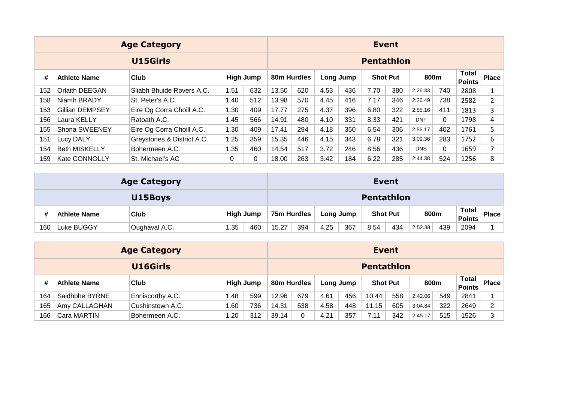|     |                                                                                                        | <b>Age Category</b>        |      |          |             |     |      |           |                   | <b>Event</b>    |            |          |                               |              |
|-----|--------------------------------------------------------------------------------------------------------|----------------------------|------|----------|-------------|-----|------|-----------|-------------------|-----------------|------------|----------|-------------------------------|--------------|
|     |                                                                                                        | U15Girls                   |      |          |             |     |      |           | <b>Pentathlon</b> |                 |            |          |                               |              |
| #   | <b>High Jump</b><br>Club<br>Athlete Name<br><b>Orlaith DEEGAN</b><br>Sliabh Bhuide Rovers A.C.<br>1.51 |                            |      |          | 80m Hurdles |     |      | Long Jump |                   | <b>Shot Put</b> | 800m       |          | <b>Total</b><br><b>Points</b> | <b>Place</b> |
| 152 |                                                                                                        |                            |      | 632      | 13.50       | 620 | 4.53 | 436       | 7.70              | 380             | 2:26.33    | 740      | 2808                          |              |
| 158 | Niamh BRADY                                                                                            | St. Peter's A.C.           | 1.40 | 512      | 13.98       | 570 | 4.45 | 416       | 7.17              | 346             | 2:26.49    | 738      | 2582                          | 2            |
| 153 | Gillian DEMPSEY                                                                                        | Eire Og Corra Choill A.C.  | 1.30 | 409      | 17.77       | 275 | 4.37 | 396       | 6.80              | 322             | 2:55.16    | 411      | 1813                          | 3            |
| 156 | Laura KELLY                                                                                            | Ratoath A.C.               | 1.45 | 566      | 14.91       | 480 | 4.10 | 331       | 8.33              | 421             | <b>DNF</b> | $\Omega$ | 1798                          | 4            |
| 155 | Shona SWEENEY                                                                                          | Eire Og Corra Choill A.C.  | 1.30 | 409      | 17.41       | 294 | 4.18 | 350       | 6.54              | 306             | 2:56.17    | 402      | 1761                          | 5            |
| 151 | Lucy DALY                                                                                              | Greystones & District A.C. | 1.25 | 359      | 15.35       | 446 | 4.15 | 343       | 6.78              | 321             | 3:09.36    | 283      | 1752                          | 6            |
| 154 | <b>Beth MISKELLY</b>                                                                                   | Bohermeen A.C.             | 1.35 | 460      | 14.54       | 517 | 3.72 | 246       | 8.56              | 436             | <b>DNS</b> | $\Omega$ | 1659                          | 7            |
| 159 | <b>Kate CONNOLLY</b>                                                                                   | St. Michael's AC           | 0    | $\Omega$ | 18.00       | 263 | 3.42 | 184       | 6.22              | 285             | 2:44.38    | 524      | 1256                          | 8            |

|     |                                                        | <b>Age Category</b> |  |             |     |      |           |                   | <b>Event</b>    |         |     |                        |              |
|-----|--------------------------------------------------------|---------------------|--|-------------|-----|------|-----------|-------------------|-----------------|---------|-----|------------------------|--------------|
|     | U15Boys                                                |                     |  |             |     |      |           | <b>Pentathlon</b> |                 |         |     |                        |              |
| #   | <b>High Jump</b><br><b>Club</b><br><b>Athlete Name</b> |                     |  | 75m Hurdles |     |      | Long Jump |                   | <b>Shot Put</b> | 800m    |     | <b>Total</b><br>Points | <b>Place</b> |
| 160 | 1.35<br>460<br>Luke BUGGY<br>Oughaval A.C.             |                     |  | 15.27       | 394 | 4.25 | 367       | 8.54              | 434             | 2:52.38 | 439 | 2094                   |              |

|     |                     | <b>Age Category</b>      |      |     |             |     |           |     | <b>Event</b>    |     |         |     |                        |              |
|-----|---------------------|--------------------------|------|-----|-------------|-----|-----------|-----|-----------------|-----|---------|-----|------------------------|--------------|
|     | U16Girls            |                          |      |     |             |     |           |     | Pentathlon      |     |         |     |                        |              |
|     | <b>Athlete Name</b> | <b>High Jump</b><br>Club |      |     | 80m Hurdles |     | Long Jump |     | <b>Shot Put</b> |     | 800m    |     | Total<br><b>Points</b> | <b>Place</b> |
| 164 | Saidhbhe BYRNE      | Enniscorthy A.C.         | . 48 | 599 | 12.96       | 679 | 4.61      | 456 | 10.44           | 558 | 2:42.06 | 549 | 2841                   |              |
| 165 | Amy CALLAGHAN       | Cushinstown A.C.         | .60  | 736 | 14.31       | 538 | 4.58      | 448 | 11.15           | 605 | 3:04.84 | 322 | 2649                   | 2            |
| 166 | Cara MARTIN         | Bohermeen A.C.           | .20  | 312 | 39.14       | 0   | 4.21      | 357 | 7.11            | 342 | 2:45.17 | 515 | 1526                   | 3            |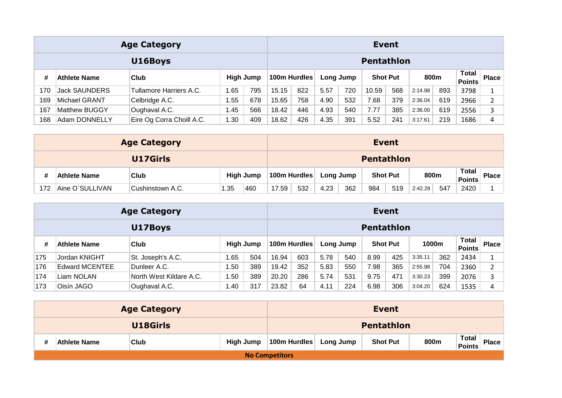|     |                      | <b>Age Category</b>       |         |           |              |     |      |           | <b>Event</b>      |     |         |     |                               |              |
|-----|----------------------|---------------------------|---------|-----------|--------------|-----|------|-----------|-------------------|-----|---------|-----|-------------------------------|--------------|
|     |                      | U16Boys                   |         |           |              |     |      |           | <b>Pentathlon</b> |     |         |     |                               |              |
| #   | Athlete Name         | Club                      |         | High Jump | 100m Hurdles |     |      | Long Jump | <b>Shot Put</b>   |     | 800m    |     | <b>Total</b><br><b>Points</b> | <b>Place</b> |
| 170 | <b>Jack SAUNDERS</b> | Tullamore Harriers A.C.   | . 65، ا | 795       | 15.15        | 822 | 5.57 | 720       | 10.59             | 568 | 2:14.98 | 893 | 3798                          |              |
| 169 | Michael GRANT        | Celbridge A.C.            | .55     | 678       | 15.65        | 758 | 4.90 | 532       | 7.68              | 379 | 2:36.04 | 619 | 2966                          |              |
| 167 | Matthew BUGGY        | Oughaval A.C.             | 1.45    | 566       | 18.42        | 446 | 4.93 | 540       | 7.77              | 385 | 2:36.00 | 619 | 2556                          | 3            |
| 168 | Adam DONNELLY        | Eire Og Corra Choill A.C. | .30     | 409       | 18.62        | 426 | 4.35 | 391       | 5.52              | 241 | 3:17.61 | 219 | 1686                          | 4            |

|     |                                                        | <b>Age Category</b> |      |     |       |              |           |     |                   | <b>Event</b>    |         |     |                               |              |
|-----|--------------------------------------------------------|---------------------|------|-----|-------|--------------|-----------|-----|-------------------|-----------------|---------|-----|-------------------------------|--------------|
|     | U17Girls                                               |                     |      |     |       |              |           |     | <b>Pentathlon</b> |                 |         |     |                               |              |
|     | <b>High Jump</b><br><b>Club</b><br><b>Athlete Name</b> |                     |      |     |       | 100m Hurdles | Long Jump |     |                   | <b>Shot Put</b> | 800m    |     | <b>Total</b><br><b>Points</b> | <b>Place</b> |
| 172 | Aine O`SULLIVAN                                        | Cushinstown A.C.    | 1.35 | 460 | 17.59 | 532          | 4.23      | 362 | 984               | 519             | 2:42.28 | 547 | 2420                          |              |

|     |                | <b>Age Category</b>     |       |                  |       |              |      |           | <b>Event</b>      |     |         |       |                               |              |
|-----|----------------|-------------------------|-------|------------------|-------|--------------|------|-----------|-------------------|-----|---------|-------|-------------------------------|--------------|
|     |                | U17Boys                 |       |                  |       |              |      |           | <b>Pentathlon</b> |     |         |       |                               |              |
| #   | Athlete Name   | Club                    |       | <b>High Jump</b> |       | 100m Hurdles |      | Long Jump | <b>Shot Put</b>   |     |         | 1000m | <b>Total</b><br><b>Points</b> | <b>Place</b> |
| 175 | Jordan KNIGHT  | St. Joseph's A.C.       | . 65، | 504              | 16.94 | 603          | 5.78 | 540       | 8.99              | 425 | 3:35.11 | 362   | 2434                          |              |
| 176 | Edward MCENTEE | Dunleer A.C.            | . .50 | 389              | 19.42 | 352          | 5.83 | 550       | 7.98              | 365 | 2:55.98 | 704   | 2360                          | 2            |
| 174 | Liam NOLAN     | North West Kildare A.C. | .50   | 389              | 20.20 | 286          | 5.74 | 531       | 9.75              | 471 | 3:30.23 | 399   | 2076                          | 3            |
| 173 | Oisín JAGO     | Oughaval A.C.           | 1.40  | 317              | 23.82 | 64           | 4.11 | 224       | 6.98              | 306 | 3:04.20 | 624   | 1535                          | 4            |

|   |                     | <b>Age Category</b> |           |                       |           | <b>Event</b>      |      |                                               |
|---|---------------------|---------------------|-----------|-----------------------|-----------|-------------------|------|-----------------------------------------------|
|   |                     | U18Girls            |           |                       |           | <b>Pentathlon</b> |      |                                               |
| # | <b>Athlete Name</b> | <sup>∖</sup> Club   | High Jump | 100m Hurdles          | Long Jump | <b>Shot Put</b>   | 800m | <b>Total</b><br><b>Place</b><br><b>Points</b> |
|   |                     |                     |           | <b>No Competitors</b> |           |                   |      |                                               |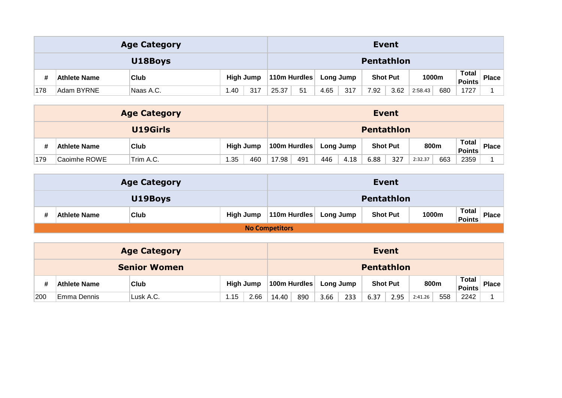|     |                                                 | <b>Age Category</b> |      |     |              |    |           |     | <b>Event</b>    |      |         |       |                        |              |
|-----|-------------------------------------------------|---------------------|------|-----|--------------|----|-----------|-----|-----------------|------|---------|-------|------------------------|--------------|
|     | U18Boys                                         |                     |      |     |              |    |           |     | Pentathlon      |      |         |       |                        |              |
|     | <b>High Jump</b><br><b>Club</b><br>Athlete Name |                     |      |     | 110m Hurdles |    | Long Jump |     | <b>Shot Put</b> |      |         | 1000m | Total<br><b>Points</b> | <b>Place</b> |
| 178 | Adam BYRNE                                      | Naas A.C.           | 1.40 | 317 | 25.37        | 51 | 4.65      | 317 | 7.92            | 3.62 | 2:58.43 | 680   | 1727                   |              |

|     |              | <b>Age Category</b> |     |                  |                   |     |           |      |      | <b>Event</b>    |         |     |                        |              |
|-----|--------------|---------------------|-----|------------------|-------------------|-----|-----------|------|------|-----------------|---------|-----|------------------------|--------------|
|     | U19Girls     |                     |     |                  | <b>Pentathlon</b> |     |           |      |      |                 |         |     |                        |              |
|     | Athlete Name | <b>Club</b>         |     | <b>High Jump</b> | 100m Hurdles      |     | Long Jump |      |      | <b>Shot Put</b> | 800m    |     | Total<br><b>Points</b> | <b>Place</b> |
| 179 | Caoimhe ROWE | Trim A.C.           | .35 | 460              | 17.98             | 491 | 446       | 4.18 | 6.88 | 327             | 2:32.37 | 663 | 2359                   |              |

|                     | <b>Age Category</b> |           |                        |  | <b>Event</b>    |       |                               |              |  |  |  |
|---------------------|---------------------|-----------|------------------------|--|-----------------|-------|-------------------------------|--------------|--|--|--|
|                     | U19Boys             |           | Pentathlon             |  |                 |       |                               |              |  |  |  |
| <b>Athlete Name</b> | <b>Club</b>         | High Jump | 110m Hurdles Long Jump |  | <b>Shot Put</b> | 1000m | <b>Total</b><br><b>Points</b> | <b>Place</b> |  |  |  |
|                     |                     |           | <b>No Competitors</b>  |  |                 |       |                               |              |  |  |  |

|     |                     | <b>Age Category</b> |      |           |              |     |           |     |                   | <b>Event</b> |         |     |                               |              |
|-----|---------------------|---------------------|------|-----------|--------------|-----|-----------|-----|-------------------|--------------|---------|-----|-------------------------------|--------------|
|     | <b>Senior Women</b> |                     |      |           |              |     |           |     | <b>Pentathlon</b> |              |         |     |                               |              |
|     | Athlete Name        | Club                |      | High Jump | 100m Hurdles |     | Long Jump |     | <b>Shot Put</b>   |              | 800m    |     | <b>Total</b><br><b>Points</b> | <b>Place</b> |
| 200 | Emma Dennis         | Lusk A.C.           | 1.15 | 2.66      | 14.40        | 890 | 3.66      | 233 | 6.37              | 2.95         | 2:41.26 | 558 | 2242                          |              |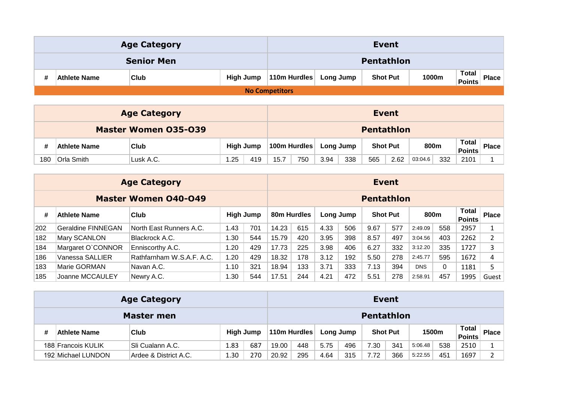|                     | <b>Age Category</b> |              |                       |                 | Event |                                               |  |  |  |  |  |
|---------------------|---------------------|--------------|-----------------------|-----------------|-------|-----------------------------------------------|--|--|--|--|--|
|                     | <b>Senior Men</b>   |              |                       | Pentathlon      |       |                                               |  |  |  |  |  |
| <b>Athlete Name</b> | <b>Club</b>         | 110m Hurdles | <b>Long Jump</b>      | <b>Shot Put</b> | 1000m | <b>Total</b><br><b>Place</b><br><b>Points</b> |  |  |  |  |  |
|                     |                     |              | <b>No Competitors</b> |                 |       |                                               |  |  |  |  |  |

|     |                             | <b>Age Category</b> |      |                  |      |              |           |     | <b>Event</b>      |      |         |     |                               |              |
|-----|-----------------------------|---------------------|------|------------------|------|--------------|-----------|-----|-------------------|------|---------|-----|-------------------------------|--------------|
|     | <b>Master Women 035-039</b> |                     |      |                  |      |              |           |     | <b>Pentathlon</b> |      |         |     |                               |              |
|     | <b>Athlete Name</b>         | Club                |      | <b>High Jump</b> |      | 100m Hurdles | Long Jump |     | <b>Shot Put</b>   |      | 800m    |     | <b>Total</b><br><b>Points</b> | <b>Place</b> |
| 180 | Orla Smith                  | Lusk A.C.           | 1.25 | 419              | 15.7 | 750          | 3.94      | 338 | 565               | 2.62 | 03:04.6 | 332 | 2101                          |              |

|     |                    | <b>Age Category</b>         |                  |           |                   |     |      |           |                 | <b>Event</b> |            |          |                               |                |  |  |
|-----|--------------------|-----------------------------|------------------|-----------|-------------------|-----|------|-----------|-----------------|--------------|------------|----------|-------------------------------|----------------|--|--|
|     |                    | <b>Master Women 040-049</b> |                  |           | <b>Pentathlon</b> |     |      |           |                 |              |            |          |                               |                |  |  |
| #   | Athlete Name       | <b>Club</b>                 |                  | High Jump | 80m Hurdles       |     |      | Long Jump | <b>Shot Put</b> |              | 800m       |          | <b>Total</b><br><b>Points</b> | <b>Place</b>   |  |  |
| 202 | Geraldine FINNEGAN | North East Runners A.C.     | 1.43             | 701       | 14.23             | 615 | 4.33 | 506       | 9.67            | 577          | 2:49.09    | 558      | 2957                          |                |  |  |
| 182 | Mary SCANLON       | Blackrock A.C.              | .30 <sub>1</sub> | 544       | 15.79             | 420 | 3.95 | 398       | 8.57            | 497          | 3:04.56    | 403      | 2262                          | $\overline{2}$ |  |  |
| 184 | Margaret O'CONNOR  | Enniscorthy A.C.            | 1.20             | 429       | 17.73             | 225 | 3.98 | 406       | 6.27            | 332          | 3:12.20    | 335      | 1727                          | 3              |  |  |
| 186 | Vanessa SALLIER    | Rathfarnham W.S.A.F. A.C.   | 1.20             | 429       | 18.32             | 178 | 3.12 | 192       | 5.50            | 278          | 2:45.77    | 595      | 1672                          | 4              |  |  |
| 183 | Marie GORMAN       | Navan A.C.                  | 1.10             | 321       | 18.94             | 133 | 3.71 | 333       | 7.13            | 394          | <b>DNS</b> | $\Omega$ | 1181                          | 5              |  |  |
| 185 | Joanne MCCAULEY    | Newry A.C.                  | 1.30             | 544       | 17.51             | 244 | 4.21 | 472       | 5.51            | 278          | 2:58.91    | 457      | 1995                          | Guest          |  |  |

|   |                                          | <b>Age Category</b>   |                 |     | <b>Event</b> |                   |      |           |                 |     |         |     |                        |              |  |  |
|---|------------------------------------------|-----------------------|-----------------|-----|--------------|-------------------|------|-----------|-----------------|-----|---------|-----|------------------------|--------------|--|--|
|   | Master men                               |                       |                 |     |              | <b>Pentathlon</b> |      |           |                 |     |         |     |                        |              |  |  |
| # | High Jump<br>Club<br><b>Athlete Name</b> |                       |                 |     | 110m Hurdles |                   |      | Long Jump | <b>Shot Put</b> |     | 1500m   |     | <b>Total</b><br>Points | <b>Place</b> |  |  |
|   | 188 Francois KULIK                       | ISli Cualann A.C.     | 1.83            | 687 | 19.00        | 448               | 5.75 | 496       | 7.30            | 341 | 5:06.48 | 538 | 2510                   |              |  |  |
|   | 192 Michael LUNDON                       | Ardee & District A.C. | $\textbf{1.30}$ | 270 | 20.92        | 295               | 4.64 | 315       | 7.72            | 366 | 5:22.55 | 451 | 1697                   |              |  |  |